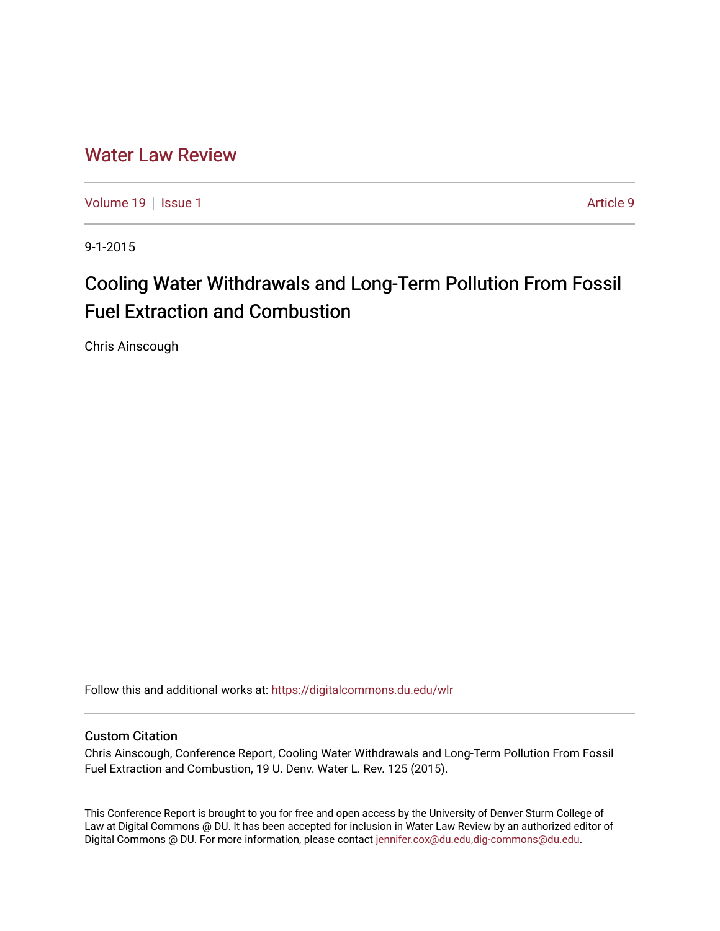# [Water Law Review](https://digitalcommons.du.edu/wlr)

[Volume 19](https://digitalcommons.du.edu/wlr/vol19) | [Issue 1](https://digitalcommons.du.edu/wlr/vol19/iss1) Article 9

9-1-2015

# Cooling Water Withdrawals and Long-Term Pollution From Fossil Fuel Extraction and Combustion

Chris Ainscough

Follow this and additional works at: [https://digitalcommons.du.edu/wlr](https://digitalcommons.du.edu/wlr?utm_source=digitalcommons.du.edu%2Fwlr%2Fvol19%2Fiss1%2F9&utm_medium=PDF&utm_campaign=PDFCoverPages) 

#### Custom Citation

Chris Ainscough, Conference Report, Cooling Water Withdrawals and Long-Term Pollution From Fossil Fuel Extraction and Combustion, 19 U. Denv. Water L. Rev. 125 (2015).

This Conference Report is brought to you for free and open access by the University of Denver Sturm College of Law at Digital Commons @ DU. It has been accepted for inclusion in Water Law Review by an authorized editor of Digital Commons @ DU. For more information, please contact [jennifer.cox@du.edu,dig-commons@du.edu](mailto:jennifer.cox@du.edu,dig-commons@du.edu).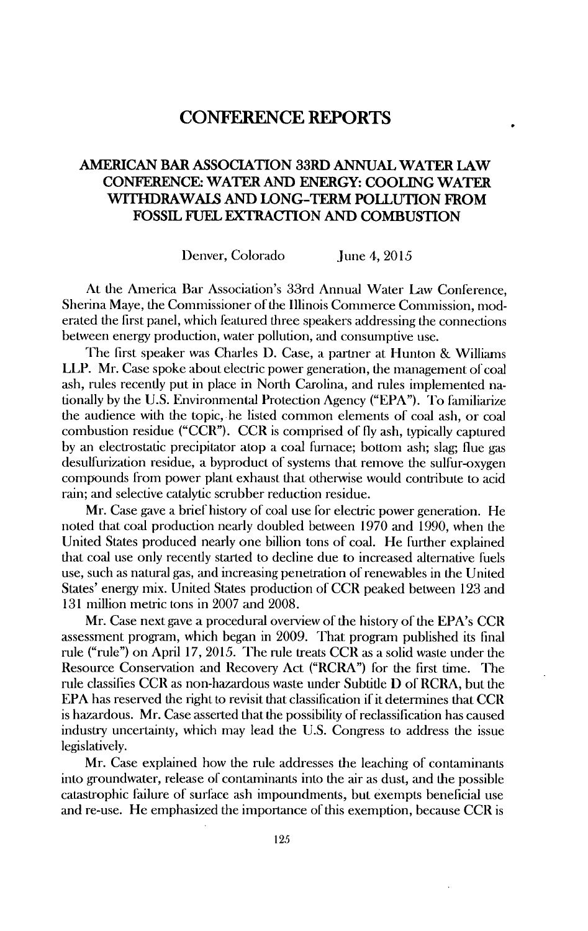# **CONFERENCE REPORTS**

## **AMERICAN BAR ASSOCIATION 33RD ANNUAL WATER LAW CONFERENCE: WATER AND ENERGY: COOLING WATER WITHDRAWALS AND LONG-TERM POLLUTION FROM FOSSIL FUEL EXTRACTION AND COMBUSTION**

Denver, Colorado June 4, 2015

At the America Bar Association's 33rd Annual Water Law Conference, Sherina Maye, the Commissioner of the Illinois Commerce Commission, moderated the first panel, which featured three speakers addressing the connections between energy production, water pollution, and consumptive use.

The first speaker was Charles D. Case, a partner at Hunton & Williams LLP. Mr. Case spoke about electric power generation, the management of coal ash, rules recently put in place in North Carolina, and rules implemented nationally by the U.S. Environmental Protection Agency ("EPA"). To familiarize the audience with the topic, he listed common elements of coal ash, or coal combustion residue ("CCR"). CCR is comprised of fly ash, typically captured by an electrostatic precipitator atop a coal furnace; bottom ash; slag; flue gas desulfurization residue, a byproduct of systems that remove the sulfur-oxygen compounds from power plant exhaust that otherwise would contribute to acid rain; and selective catalytic scrubber reduction residue.

Mr. Case gave a brief history of coal use for electric power generation. He noted that coal production nearly doubled between 1970 and 1990, when the United States produced nearly one billion tons of coal. He further explained that coal use only recently started to decline due to increased alternative fuels use, such as natural gas, and increasing penetration of renewables in the United States' energy mix. United States production of CCR peaked between 123 and 131 million metric tons in 2007 and 2008.

Mr. Case next gave a procedural overview of the history of the EPA's CCR assessment program, which began in 2009. That program published its final rule ("rule") on April 17, 2015. The rule treats CCR as a solid waste under the Resource Conservation and Recovery Act ("RCRA") for the first time. The rule classifies CCR as non-hazardous waste under Subtitle **D** of RCRA, but the EPA has reserved the right to revisit that classification if it determines that CCR is hazardous. Mr. Case asserted that the possibility of reclassification has caused industry uncertainty, which may lead the U.S. Congress to address tie issue legislatively.

Mr. Case explained how the rule addresses the leaching of contaminants into groundwater, release of contaminants into the air as dust, and the possible catastrophic failure of surface ash impoundments, but exempts beneficial use and re-use. He emphasized the importance of this exemption, because CCR is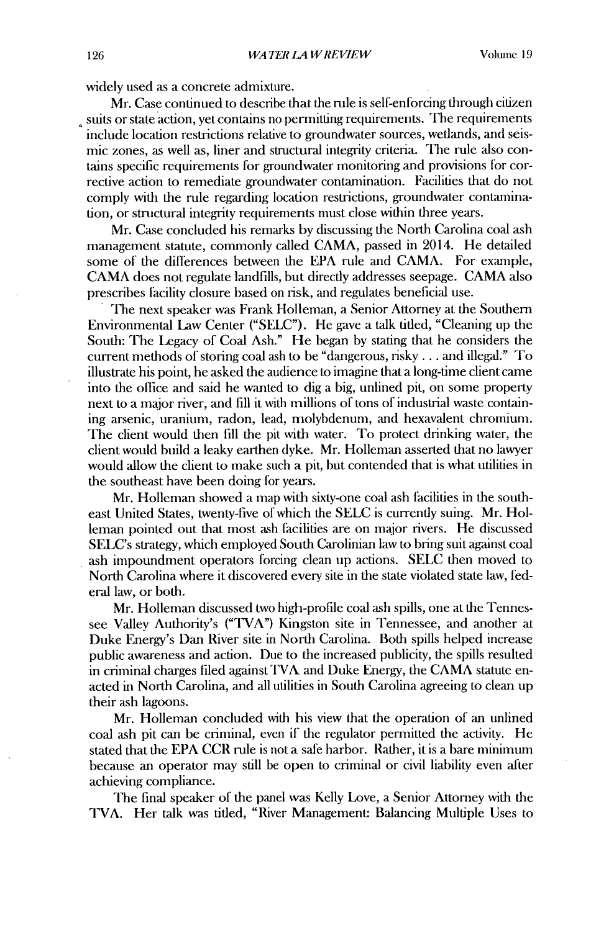widely used as a concrete admixture.

Mr. Case continued to describe that the rule is self-enforcing through citizen , suits or state action, yet contains no permitting requirements. The requirements include location restrictions relative to groundwater sources, wetlands, and seismic zones, as well as, liner and structural integrity criteria. The rule also contains specific requirements for groundwater monitoring and provisions for corrective action to remediate groundwater contamination. Facilities that do not comply with the rule regarding location restrictions, groundwater contamination, or structural integrity requirements must close within three years.

Mr. Case concluded his remarks by discussing the North Carolina coal ash management statute, commonly called CAMA, passed in 2014. He detailed some of the differences between the EPA rule and CAMA. For example, CAMA does not regulate landfills, but directly addresses seepage. CAMA also prescribes facility closure based on risk, and regulates beneficial use.

The next speaker was Frank Holleman, a Senior Attorney at the Southern Environmental Law Center ("SELC"). He gave a talk titled, "Cleaning up the South: The Legacy of Coal Ash." He began by stating that he considers the current methods of storing coal ash to be "dangerous, risky... and illegal." To illustrate his point, he asked the audience to imagine that a long-time client came into the office and said he wanted to dig a big, unlined pit, on some property next to a major river, and fill it with millions of tons of industrial waste containing arsenic, uranium, radon, lead, molybdenum, and hexavalent chromium. The client would then fill the pit with water. To protect drinking water, the client would build a leaky earthen dyke. Mr. Holleman asserted that no lawyer would allow the client to make such a pit, but contended that is what utilities in the southeast have been doing for years.

Mr. Holleman showed a map with sixty-one coal ash facilities in the southeast United States, twenty-five of which the SELC is currently suing. Mr. Holleman pointed out that most ash facilities are on major rivers. He discussed SELC's strategy, which employed South Carolinian law to bring suit against coal ash impoundment operators forcing clean up actions. SELC then moved to North Carolina where it discovered every site in the state violated state law, federal law, or both.

Mr. Holleman discussed two high-profile coal ash spills, one at the Tennessee Valley Authority's ("TVA") Kingston site in Tennessee, and another at Duke Energy's Dan River site in North Carolina. Both spills helped increase public awareness and action. Due to the increased publicity, the spills resulted in criminal charges filed against TVA and Duke Energy, the CAMA statute enacted in North Carolina, and all utilities in South Carolina agreeing to clean up their ash lagoons.

Mr. Holleman concluded with his view that the operation of an unlined coal ash pit can be criminal, even if the regulator permitted the activity. He stated that the EPA CCR rule is not a safe harbor. Rather, it is a bare minimum because an operator may still be open to criminal or civil liability even after achieving compliance.

The final speaker of the panel was Kelly Love, a Senior Attorney with the TVA. Her talk was titled, "River Management: Balancing Multiple Uses to